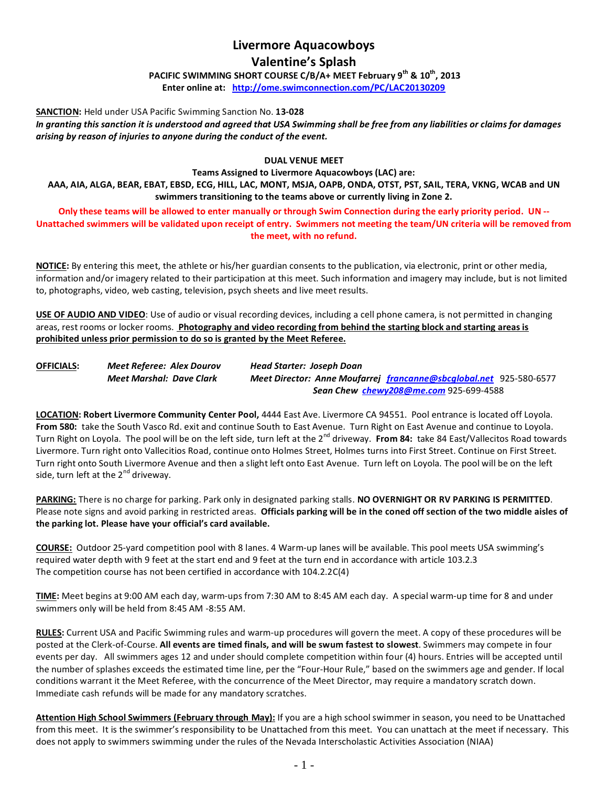# **Livermore Aquacowboys**

# **Valentine's Splash**

**PACIFIC SWIMMING SHORT COURSE C/B/A+ MEET February 9th & 10th, 2013 Enter online at: <http://ome.swimconnection.com/PC/LAC20130209>**

**SANCTION:** Held under USA Pacific Swimming Sanction No. **13-028**

*In granting this sanction it is understood and agreed that USA Swimming shall be free from any liabilities or claims for damages arising by reason of injuries to anyone during the conduct of the event.*

## **DUAL VENUE MEET**

**Teams Assigned to Livermore Aquacowboys (LAC) are: AAA, AIA, ALGA, BEAR, EBAT, EBSD, ECG, HILL, LAC, MONT, MSJA, OAPB, ONDA, OTST, PST, SAIL, TERA, VKNG, WCAB and UN swimmers transitioning to the teams above or currently living in Zone 2.** 

**Only these teams will be allowed to enter manually or through Swim Connection during the early priority period. UN -- Unattached swimmers will be validated upon receipt of entry. Swimmers not meeting the team/UN criteria will be removed from the meet, with no refund.**

**NOTICE:** By entering this meet, the athlete or his/her guardian consents to the publication, via electronic, print or other media, information and/or imagery related to their participation at this meet. Such information and imagery may include, but is not limited to, photographs, video, web casting, television, psych sheets and live meet results.

**USE OF AUDIO AND VIDEO**: Use of audio or visual recording devices, including a cell phone camera, is not permitted in changing areas, rest rooms or locker rooms. **Photography and video recording from behind the starting block and starting areas is prohibited unless prior permission to do so is granted by the Meet Referee.**

| <b>OFFICIALS:</b> | Meet Referee: Alex Dourov | Head Starter: Joseph Doan                                                 |
|-------------------|---------------------------|---------------------------------------------------------------------------|
|                   | Meet Marshal: Dave Clark  | <b>Meet Director: Anne Moufarrej francanne@sbcglobal.net 925-580-6577</b> |
|                   |                           | Sean Chew chewy208@me.com 925-699-4588                                    |

**LOCATION: Robert Livermore Community Center Pool,** 4444 East Ave. Livermore CA 94551. Pool entrance is located off Loyola. **From 580:** take the South Vasco Rd. exit and continue South to East Avenue. Turn Right on East Avenue and continue to Loyola. Turn Right on Loyola. The pool will be on the left side, turn left at the 2<sup>nd</sup> driveway. **From 84:** take 84 East/Vallecitos Road towards Livermore. Turn right onto Vallecitios Road, continue onto Holmes Street, Holmes turns into First Street. Continue on First Street. Turn right onto South Livermore Avenue and then a slight left onto East Avenue. Turn left on Loyola. The pool will be on the left side, turn left at the  $2^{nd}$  driveway.

**PARKING:** There is no charge for parking. Park only in designated parking stalls. **NO OVERNIGHT OR RV PARKING IS PERMITTED**. Please note signs and avoid parking in restricted areas. **Officials parking will be in the coned off section of the two middle aisles of the parking lot. Please have your official's card available.**

**COURSE:** Outdoor 25-yard competition pool with 8 lanes. 4 Warm-up lanes will be available. This pool meets USA swimming's required water depth with 9 feet at the start end and 9 feet at the turn end in accordance with article 103.2.3 The competition course has not been certified in accordance with 104.2.2C(4)

**TIME:** Meet begins at 9:00 AM each day, warm-ups from 7:30 AM to 8:45 AM each day. A special warm-up time for 8 and under swimmers only will be held from 8:45 AM -8:55 AM.

**RULES:** Current USA and Pacific Swimming rules and warm-up procedures will govern the meet. A copy of these procedures will be posted at the Clerk-of-Course. **All events are timed finals, and will be swum fastest to slowest**. Swimmers may compete in four events per day. All swimmers ages 12 and under should complete competition within four (4) hours. Entries will be accepted until the number of splashes exceeds the estimated time line, per the "Four-Hour Rule," based on the swimmers age and gender. If local conditions warrant it the Meet Referee, with the concurrence of the Meet Director, may require a mandatory scratch down. Immediate cash refunds will be made for any mandatory scratches.

**Attention High School Swimmers (February through May):** If you are a high school swimmer in season, you need to be Unattached from this meet. It is the swimmer's responsibility to be Unattached from this meet. You can unattach at the meet if necessary. This does not apply to swimmers swimming under the rules of the Nevada Interscholastic Activities Association (NIAA)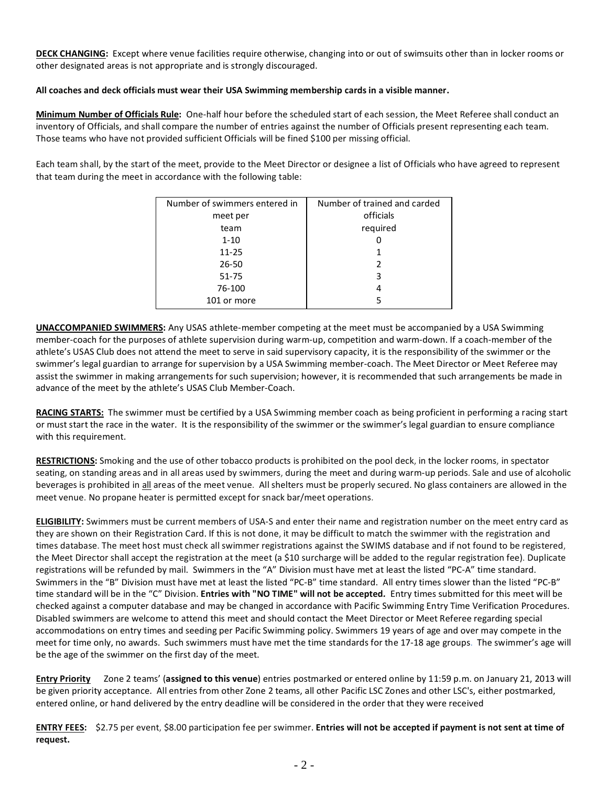**DECK CHANGING:** Except where venue facilities require otherwise, changing into or out of swimsuits other than in locker rooms or other designated areas is not appropriate and is strongly discouraged.

## **All coaches and deck officials must wear their USA Swimming membership cards in a visible manner.**

**Minimum Number of Officials Rule:** One-half hour before the scheduled start of each session, the Meet Referee shall conduct an inventory of Officials, and shall compare the number of entries against the number of Officials present representing each team. Those teams who have not provided sufficient Officials will be fined \$100 per missing official.

Each team shall, by the start of the meet, provide to the Meet Director or designee a list of Officials who have agreed to represent that team during the meet in accordance with the following table:

| Number of swimmers entered in | Number of trained and carded |  |  |  |  |  |
|-------------------------------|------------------------------|--|--|--|--|--|
| meet per                      | officials                    |  |  |  |  |  |
| team                          | required                     |  |  |  |  |  |
| $1 - 10$                      |                              |  |  |  |  |  |
| $11 - 25$                     |                              |  |  |  |  |  |
| 26-50                         | $\mathcal{P}$                |  |  |  |  |  |
| 51-75                         | 3                            |  |  |  |  |  |
| 76-100                        | 4                            |  |  |  |  |  |
| 101 or more                   |                              |  |  |  |  |  |
|                               |                              |  |  |  |  |  |

**UNACCOMPANIED SWIMMERS:** Any USAS athlete-member competing at the meet must be accompanied by a USA Swimming member-coach for the purposes of athlete supervision during warm-up, competition and warm-down. If a coach-member of the athlete's USAS Club does not attend the meet to serve in said supervisory capacity, it is the responsibility of the swimmer or the swimmer's legal guardian to arrange for supervision by a USA Swimming member-coach. The Meet Director or Meet Referee may assist the swimmer in making arrangements for such supervision; however, it is recommended that such arrangements be made in advance of the meet by the athlete's USAS Club Member-Coach.

**RACING STARTS:** The swimmer must be certified by a USA Swimming member coach as being proficient in performing a racing start or must start the race in the water. It is the responsibility of the swimmer or the swimmer's legal guardian to ensure compliance with this requirement.

**RESTRICTIONS:** Smoking and the use of other tobacco products is prohibited on the pool deck, in the locker rooms, in spectator seating, on standing areas and in all areas used by swimmers, during the meet and during warm-up periods. Sale and use of alcoholic beverages is prohibited in all areas of the meet venue. All shelters must be properly secured. No glass containers are allowed in the meet venue. No propane heater is permitted except for snack bar/meet operations.

**ELIGIBILITY:** Swimmers must be current members of USA-S and enter their name and registration number on the meet entry card as they are shown on their Registration Card. If this is not done, it may be difficult to match the swimmer with the registration and times database. The meet host must check all swimmer registrations against the SWIMS database and if not found to be registered, the Meet Director shall accept the registration at the meet (a \$10 surcharge will be added to the regular registration fee). Duplicate registrations will be refunded by mail. Swimmers in the "A" Division must have met at least the listed "PC-A" time standard. Swimmers in the "B" Division must have met at least the listed "PC-B" time standard. All entry times slower than the listed "PC-B" time standard will be in the "C" Division. **Entries with "NO TIME" will not be accepted***.* Entry times submitted for this meet will be checked against a computer database and may be changed in accordance with Pacific Swimming Entry Time Verification Procedures. Disabled swimmers are welcome to attend this meet and should contact the Meet Director or Meet Referee regarding special accommodations on entry times and seeding per Pacific Swimming policy. Swimmers 19 years of age and over may compete in the meet for time only, no awards. Such swimmers must have met the time standards for the 17-18 age groups. The swimmer's age will be the age of the swimmer on the first day of the meet.

**Entry Priority** Zone 2 teams' (**assigned to this venue**) entries postmarked or entered online by 11:59 p.m. on January 21, 2013 will be given priority acceptance. All entries from other Zone 2 teams, all other Pacific LSC Zones and other LSC's, either postmarked, entered online, or hand delivered by the entry deadline will be considered in the order that they were received

**ENTRY FEES:** \$2.75 per event, \$8.00 participation fee per swimmer. **Entries will not be accepted if payment is not sent at time of request.**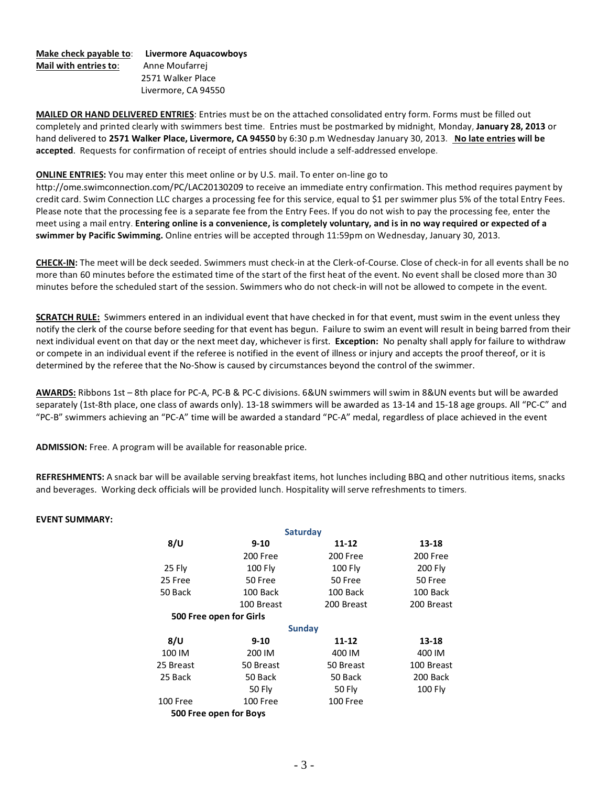#### **Make check payable to**: **Livermore Aquacowboys Mail with entries to**: Anne Moufarrej 2571 Walker Place Livermore, CA 94550

**MAILED OR HAND DELIVERED ENTRIES**: Entries must be on the attached consolidated entry form. Forms must be filled out completely and printed clearly with swimmers best time. Entries must be postmarked by midnight, Monday, **January 28, 2013** or hand delivered to **2571 Walker Place, Livermore, CA 94550** by 6:30 p.m Wednesday January 30, 2013. **No late entries will be accepted**. Requests for confirmation of receipt of entries should include a self-addressed envelope.

### **ONLINE ENTRIES:** You may enter this meet online or by U.S. mail. To enter on-line go to

http://ome.swimconnection.com/PC/LAC20130209 to receive an immediate entry confirmation. This method requires payment by credit card. Swim Connection LLC charges a processing fee for this service, equal to \$1 per swimmer plus 5% of the total Entry Fees. Please note that the processing fee is a separate fee from the Entry Fees. If you do not wish to pay the processing fee, enter the meet using a mail entry. **Entering online is a convenience, is completely voluntary, and is in no way required or expected of a swimmer by Pacific Swimming.** Online entries will be accepted through 11:59pm on Wednesday, January 30, 2013.

**CHECK-IN:** The meet will be deck seeded. Swimmers must check-in at the Clerk-of-Course. Close of check-in for all events shall be no more than 60 minutes before the estimated time of the start of the first heat of the event. No event shall be closed more than 30 minutes before the scheduled start of the session. Swimmers who do not check-in will not be allowed to compete in the event.

**SCRATCH RULE:** Swimmers entered in an individual event that have checked in for that event, must swim in the event unless they notify the clerk of the course before seeding for that event has begun. Failure to swim an event will result in being barred from their next individual event on that day or the next meet day, whichever is first. **Exception:** No penalty shall apply for failure to withdraw or compete in an individual event if the referee is notified in the event of illness or injury and accepts the proof thereof, or it is determined by the referee that the No-Show is caused by circumstances beyond the control of the swimmer.

**AWARDS:** Ribbons 1st – 8th place for PC-A, PC-B & PC-C divisions. 6&UN swimmers will swim in 8&UN events but will be awarded separately (1st-8th place, one class of awards only). 13-18 swimmers will be awarded as 13-14 and 15-18 age groups. All "PC-C" and "PC-B" swimmers achieving an "PC-A" time will be awarded a standard "PC-A" medal, regardless of place achieved in the event

**ADMISSION:** Free. A program will be available for reasonable price.

**REFRESHMENTS:** A snack bar will be available serving breakfast items, hot lunches including BBQ and other nutritious items, snacks and beverages. Working deck officials will be provided lunch. Hospitality will serve refreshments to timers.

#### **EVENT SUMMARY:**

|           |                         | Saturday       |                |  |  |
|-----------|-------------------------|----------------|----------------|--|--|
| 8/U       | 9-10                    | $11 - 12$      | 13-18          |  |  |
|           | 200 Free                | 200 Free       | 200 Free       |  |  |
| 25 Fly    | <b>100 Fly</b>          | <b>100 Fly</b> | <b>200 Fly</b> |  |  |
| 25 Free   | 50 Free                 | 50 Free        | 50 Free        |  |  |
| 50 Back   | 100 Back                | 100 Back       | 100 Back       |  |  |
|           | 100 Breast              | 200 Breast     | 200 Breast     |  |  |
|           | 500 Free open for Girls |                |                |  |  |
|           |                         | <b>Sunday</b>  |                |  |  |
| 8/U       | $9 - 10$                | $11 - 12$      | 13-18          |  |  |
| 100 IM    | 200 IM                  | 400 IM         | 400 IM         |  |  |
| 25 Breast | 50 Breast               | 50 Breast      | 100 Breast     |  |  |
| 25 Back   | 50 Back                 | 50 Back        | 200 Back       |  |  |
|           | 50 Fly                  | 50 Fly         | 100 Fly        |  |  |
| 100 Free  | 100 Free                | 100 Free       |                |  |  |
|           | 500 Free open for Boys  |                |                |  |  |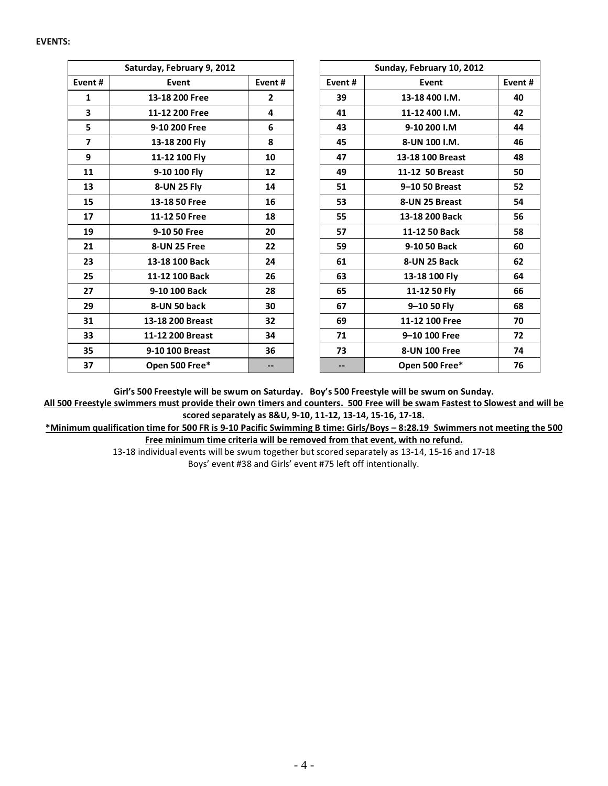#### **EVENTS:**

|                         | Saturday, February 9, 2012 |                | Sunday, February 10, 2012 |                  |        |  |  |  |
|-------------------------|----------------------------|----------------|---------------------------|------------------|--------|--|--|--|
| Event#                  | Event                      | Event#         | Event#                    | Event            | Event# |  |  |  |
| $\mathbf{1}$            | 13-18 200 Free             | $\overline{2}$ | 39                        | 13-18 400 I.M.   | 40     |  |  |  |
| $\overline{\mathbf{3}}$ | 11-12 200 Free             | 4              | 41                        | 11-12 400 I.M.   | 42     |  |  |  |
| 5                       | 9-10 200 Free              | 6              | 43                        | 9-10 200 I.M     | 44     |  |  |  |
| $\overline{7}$          | 13-18 200 Fly              | 8              | 45                        | 8-UN 100 I.M.    | 46     |  |  |  |
| 9                       | 11-12 100 Fly              | 10             | 47                        | 13-18 100 Breast | 48     |  |  |  |
| 11                      | 9-10 100 Fly               | 12             | 49                        | 11-12 50 Breast  | 50     |  |  |  |
| 13                      | 8-UN 25 Fly                | 14             | 51                        | 9-10 50 Breast   | 52     |  |  |  |
| 15                      | 13-18 50 Free              | 16             | 53                        | 8-UN 25 Breast   | 54     |  |  |  |
| 17                      | 11-12 50 Free              | 18             | 55                        | 13-18 200 Back   | 56     |  |  |  |
| 19                      | 9-10 50 Free               | 20             | 57                        | 11-12 50 Back    | 58     |  |  |  |
| 21                      | 8-UN 25 Free               | 22             | 59                        | 9-10 50 Back     | 60     |  |  |  |
| 23                      | 13-18 100 Back             | 24             | 61                        | 8-UN 25 Back     | 62     |  |  |  |
| 25                      | 11-12 100 Back             | 26             | 63                        | 13-18 100 Fly    | 64     |  |  |  |
| 27                      | 9-10 100 Back              | 28             | 65                        | 11-12 50 Fly     | 66     |  |  |  |
| 29                      | 8-UN 50 back               | 30             | 67                        | 9-10 50 Fly      | 68     |  |  |  |
| 31                      | 13-18 200 Breast           | 32             | 69                        | 11-12 100 Free   | 70     |  |  |  |
| 33                      | 11-12 200 Breast           | 34             | 71                        | 9-10 100 Free    | 72     |  |  |  |
| 35                      | 9-10 100 Breast            | 36             | 73                        | 8-UN 100 Free    | 74     |  |  |  |
| 37                      | Open 500 Free*             |                |                           | Open 500 Free*   | 76     |  |  |  |

**Girl's 500 Freestyle will be swum on Saturday. Boy's 500 Freestyle will be swum on Sunday.**

**All 500 Freestyle swimmers must provide their own timers and counters. 500 Free will be swam Fastest to Slowest and will be scored separately as 8&U, 9-10, 11-12, 13-14, 15-16, 17-18.**

**\*Minimum qualification time for 500 FR is 9-10 Pacific Swimming B time: Girls/Boys – 8:28.19 Swimmers not meeting the 500 Free minimum time criteria will be removed from that event, with no refund.**

> 13-18 individual events will be swum together but scored separately as 13-14, 15-16 and 17-18 Boys' event #38 and Girls' event #75 left off intentionally.